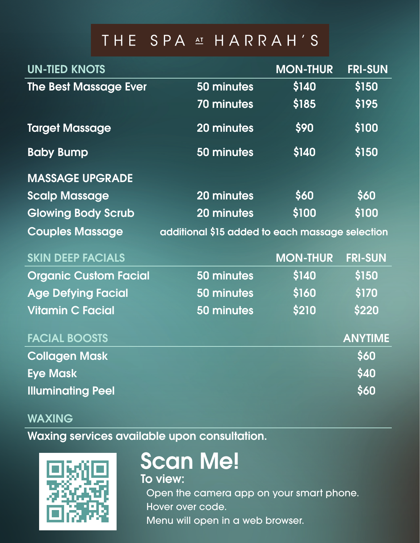## THE SPA AT HARRAH'S

| <b>UN-TIED KNOTS</b>         |                                                 | <b>MON-THUR</b> | <b>FRI-SUN</b> |
|------------------------------|-------------------------------------------------|-----------------|----------------|
| <b>The Best Massage Ever</b> | 50 minutes                                      | \$140           | \$150          |
|                              | 70 minutes                                      | \$185           | \$195          |
| <b>Target Massage</b>        | 20 minutes                                      | \$90            | \$100          |
| <b>Baby Bump</b>             | 50 minutes                                      | \$140           | \$150          |
| <b>MASSAGE UPGRADE</b>       |                                                 |                 |                |
| <b>Scalp Massage</b>         | 20 minutes                                      | \$60            | \$60           |
| <b>Glowing Body Scrub</b>    | 20 minutes                                      | \$100           | \$100          |
| <b>Couples Massage</b>       | additional \$15 added to each massage selection |                 |                |
| <b>SKIN DEEP FACIALS</b>     |                                                 | <b>MON-THUR</b> | <b>FRI-SUN</b> |
| <b>Organic Custom Facial</b> | 50 minutes                                      | \$140           | \$150          |
| <b>Age Defying Facial</b>    | 50 minutes                                      | \$160           | \$170          |
| <b>Vitamin C Facial</b>      | 50 minutes                                      | \$210           | \$220          |
| <b>FACIAL BOOSTS</b>         |                                                 |                 | <b>ANYTIME</b> |
| <b>Collagen Mask</b>         |                                                 |                 | \$60           |
| <b>Eye Mask</b>              |                                                 |                 | \$40           |
| <b>Illuminating Peel</b>     |                                                 |                 | \$60           |

## WAXIN<del>G</del><br>Letters available upon consultation. WAXING

Waxing services available upon consultation.



## Scan Mal Scan Me!

To view: when you smart phone. The camera app on your smart phone.

Open the camera app on your smart phone. Hover over code. Menu will open in a web browser.